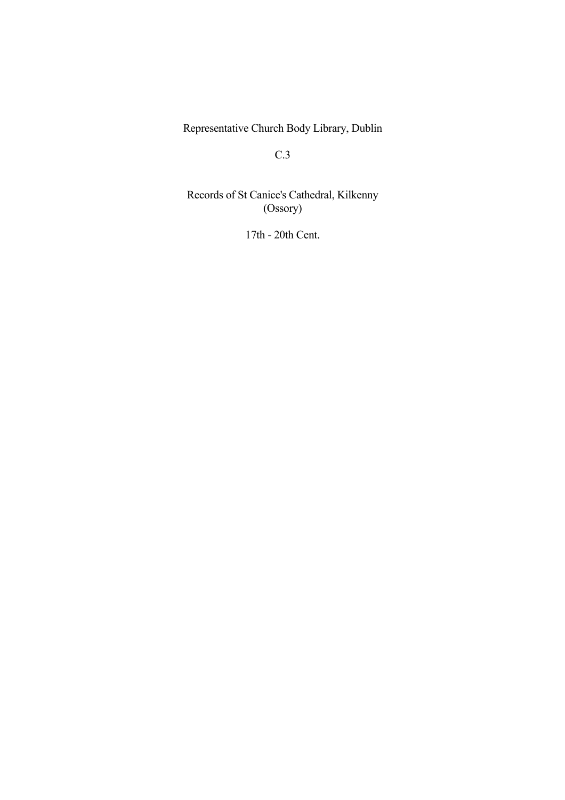Representative Church Body Library, Dublin

C.3

 Records of St Canice's Cathedral, Kilkenny (Ossory)

17th - 20th Cent.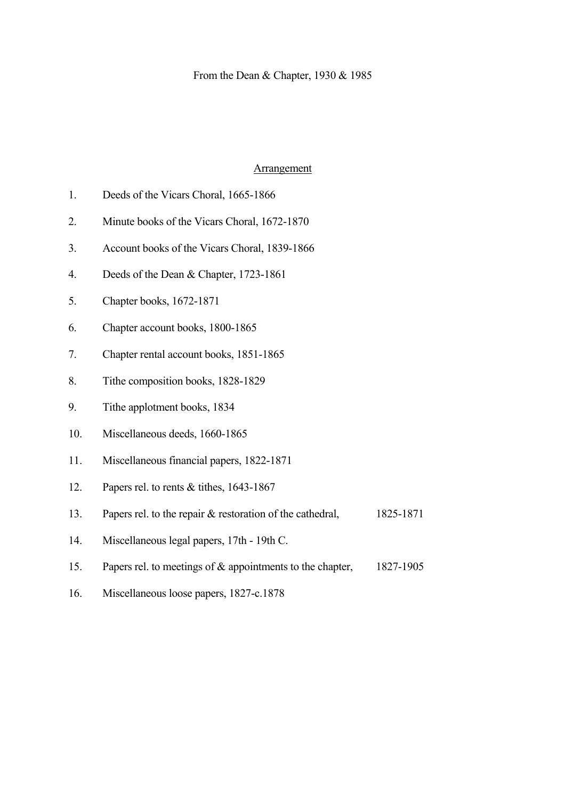#### **Arrangement**

- 1. Deeds of the Vicars Choral, 1665-1866
- 2. Minute books of the Vicars Choral, 1672-1870
- 3. Account books of the Vicars Choral, 1839-1866
- 4. Deeds of the Dean & Chapter, 1723-1861
- 5. Chapter books, 1672-1871
- 6. Chapter account books, 1800-1865
- 7. Chapter rental account books, 1851-1865
- 8. Tithe composition books, 1828-1829
- 9. Tithe applotment books, 1834
- 10. Miscellaneous deeds, 1660-1865
- 11. Miscellaneous financial papers, 1822-1871
- 12. Papers rel. to rents & tithes, 1643-1867
- 13. Papers rel. to the repair & restoration of the cathedral, 1825-1871
- 14. Miscellaneous legal papers, 17th 19th C.
- 15. Papers rel. to meetings of & appointments to the chapter, 1827-1905
- 16. Miscellaneous loose papers, 1827-c.1878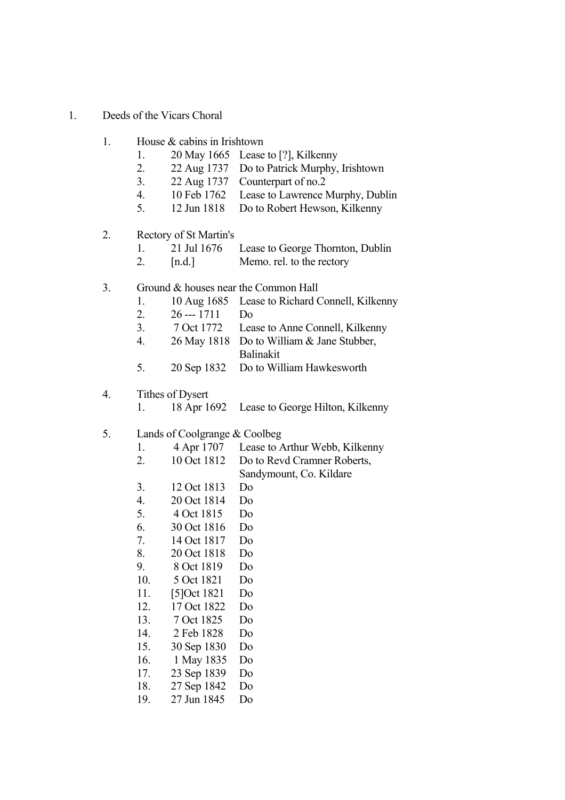- 1. Deeds of the Vicars Choral
	- 1 House  $\&$  cabins in Irishtown
		- 1. 20 May 1665 Lease to [?], Kilkenny
		- 2. 22 Aug 1737 Do to Patrick Murphy, Irishtown
		- 3. 22 Aug 1737 Counterpart of no.2
		- 4. 10 Feb 1762 Lease to Lawrence Murphy, Dublin
		- 5. 12 Jun 1818 Do to Robert Hewson, Kilkenny
	- 2. Rectory of St Martin's
		- 1. 21 Jul 1676 Lease to George Thornton, Dublin
		- 2. [n.d.] Memo. rel. to the rectory

#### 3. Ground & houses near the Common Hall

- 1. 10 Aug 1685 Lease to Richard Connell, Kilkenny
- 2. 26 --- 1711 Do
- 3. 7 Oct 1772 Lease to Anne Connell, Kilkenny
- 4. 26 May 1818 Do to William & Jane Stubber, Balinakit
- 5. 20 Sep 1832 Do to William Hawkesworth

#### 4. Tithes of Dysert

1. 18 Apr 1692 Lease to George Hilton, Kilkenny

#### 5. Lands of Coolgrange & Coolbeg

- 1. 4 Apr 1707 Lease to Arthur Webb, Kilkenny
- 2. 10 Oct 1812 Do to Revd Cramner Roberts, Sandymount, Co. Kildare
- 3. 12 Oct 1813 Do
- 4. 20 Oct 1814 Do
- 5. 4 Oct 1815 Do
- 6. 30 Oct 1816 Do
- 7. 14 Oct 1817 Do
- 8. 20 Oct 1818 Do
- 9. 8 Oct 1819 Do
- 10. 5 Oct 1821 Do
- 11. [5]Oct 1821 Do
- 12. 17 Oct 1822 Do
- 13. 7 Oct 1825 Do
- 14. 2 Feb 1828 Do
- 
- 15. 30 Sep 1830 Do
- 16. 1 May 1835 Do
- 17. 23 Sep 1839 Do
- 18. 27 Sep 1842 Do
- 19. 27 Jun 1845 Do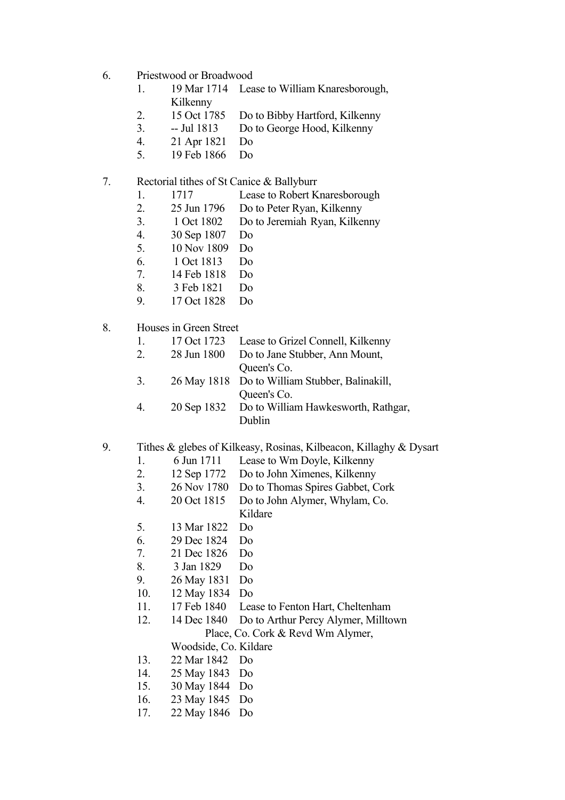- 6. Priestwood or Broadwood
	- 1. 19 Mar 1714 Lease to William Knaresborough, Kilkenny
	- 2. 15 Oct 1785 Do to Bibby Hartford, Kilkenny
	- 3. -- Jul 1813 Do to George Hood, Kilkenny
	- 4. 21 Apr 1821 Do
	- 5. 19 Feb 1866 Do

## 7. Rectorial tithes of St Canice & Ballyburr

- 1. 1717 Lease to Robert Knaresborough
- 2. 25 Jun 1796 Do to Peter Ryan, Kilkenny
- 3. 1 Oct 1802 Do to Jeremiah Ryan, Kilkenny
- 4. 30 Sep 1807 Do
- 5. 10 Nov 1809 Do
- 6. 1 Oct 1813 Do
- 7. 14 Feb 1818 Do
- 8. 3 Feb 1821 Do
- 9. 17 Oct 1828 Do
- 8. Houses in Green Street
	- 1. 17 Oct 1723 Lease to Grizel Connell, Kilkenny
	- 2. 28 Jun 1800 Do to Jane Stubber, Ann Mount, Queen's Co.
	- 3. 26 May 1818 Do to William Stubber, Balinakill, Queen's Co.
	- 4. 20 Sep 1832 Do to William Hawkesworth, Rathgar, Dublin

## 9. Tithes & glebes of Kilkeasy, Rosinas, Kilbeacon, Killaghy & Dysart

- 1. 6 Jun 1711 Lease to Wm Doyle, Kilkenny
- 2. 12 Sep 1772 Do to John Ximenes, Kilkenny
- 3. 26 Nov 1780 Do to Thomas Spires Gabbet, Cork
- 4. 20 Oct 1815 Do to John Alymer, Whylam, Co. Kildare
- 5. 13 Mar 1822 Do
- 6. 29 Dec 1824 Do
- 7. 21 Dec 1826 Do
- 8. 3 Jan 1829 Do
- 9. 26 May 1831 Do
- 10. 12 May 1834 Do
- 11. 17 Feb 1840 Lease to Fenton Hart, Cheltenham
- 12. 14 Dec 1840 Do to Arthur Percy Alymer, Milltown Place, Co. Cork & Revd Wm Alymer,
	- Woodside, Co. Kildare
- 13. 22 Mar 1842 Do
- 14. 25 May 1843 Do
- 15. 30 May 1844 Do
- 16. 23 May 1845 Do
- 17. 22 May 1846 Do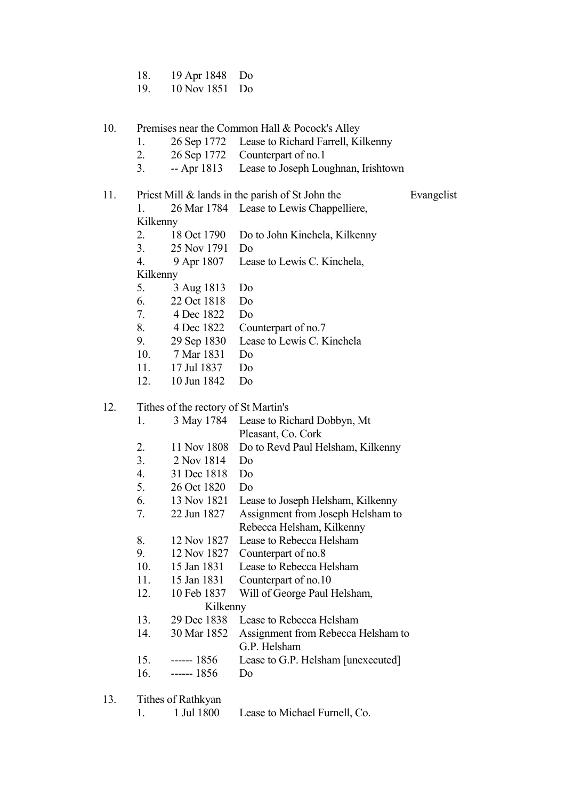- 18. 19 Apr 1848 Do
- 19. 10 Nov 1851 Do
- 10. Premises near the Common Hall & Pocock's Alley
	- 1. 26 Sep 1772 Lease to Richard Farrell, Kilkenny
	- 2. 26 Sep 1772 Counterpart of no.1
	- 3. -- Apr 1813 Lease to Joseph Loughnan, Irishtown
- 11. Priest Mill  $\&$  lands in the parish of St John the Evangelist 1. 26 Mar 1784 Lease to Lewis Chappelliere, Kilkenny 2. 18 Oct 1790 Do to John Kinchela, Kilkenny 3. 25 Nov 1791 Do 4. 9 Apr 1807 Lease to Lewis C. Kinchela, Kilkenny 5. 3 Aug 1813 Do 6. 22 Oct 1818 Do 7. 4 Dec 1822 Do 8. 4 Dec 1822 Counterpart of no.7 9. 29 Sep 1830 Lease to Lewis C. Kinchela 10. 7 Mar 1831 Do 11. 17 Jul 1837 Do 12. 10 Jun 1842 Do

## 12. Tithes of the rectory of St Martin's

| 1.  | 3 May 1784  | Lease to Richard Dobbyn, Mt          |
|-----|-------------|--------------------------------------|
|     |             | Pleasant, Co. Cork                   |
| 2.  | 11 Nov 1808 | Do to Revd Paul Helsham, Kilkenny    |
| 3.  | 2 Nov 1814  | Do                                   |
| 4.  | 31 Dec 1818 | D <sub>o</sub>                       |
| 5.  | 26 Oct 1820 | D <sub>0</sub>                       |
| 6.  | 13 Nov 1821 | Lease to Joseph Helsham, Kilkenny    |
| 7.  | 22 Jun 1827 | Assignment from Joseph Helsham to    |
|     |             | Rebecca Helsham, Kilkenny            |
| 8.  | 12 Nov 1827 | Lease to Rebecca Helsham             |
| 9.  | 12 Nov 1827 | Counterpart of no.8                  |
| 10. | 15 Jan 1831 | Lease to Rebecca Helsham             |
| 11. | 15 Jan 1831 | Counterpart of no.10                 |
| 12. | 10 Feb 1837 | Will of George Paul Helsham,         |
|     | Kilkenny    |                                      |
| 13. | 29 Dec 1838 | Lease to Rebecca Helsham             |
| 14. | 30 Mar 1852 | Assignment from Rebecca Helsham to   |
|     |             | G.P. Helsham                         |
|     |             | Lease to G.P. Helsham [unexecuted]   |
|     |             | Do                                   |
|     |             |                                      |
|     |             | $15. \t--- 1856$<br>$16. \t--- 1856$ |

- 13. Tithes of Rathkyan
	- 1. 1 Jul 1800 Lease to Michael Furnell, Co.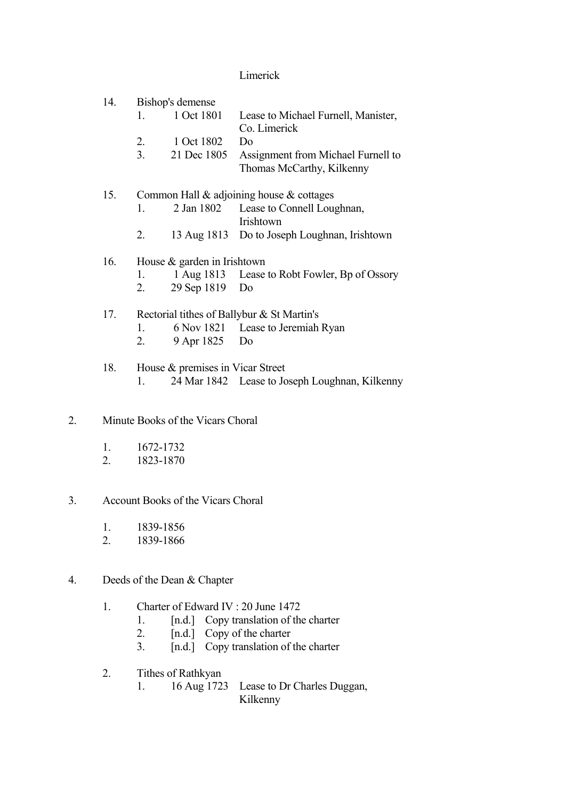## Limerick

| 14. | Bishop's demense                           |                                  |                                                |  |  |  |
|-----|--------------------------------------------|----------------------------------|------------------------------------------------|--|--|--|
|     |                                            | 1. 1 Oct 1801                    | Lease to Michael Furnell, Manister,            |  |  |  |
|     |                                            |                                  | Co. Limerick                                   |  |  |  |
|     |                                            | 2. 1 Oct 1802                    | D <sub>0</sub>                                 |  |  |  |
|     | 3.                                         | 21 Dec 1805                      | Assignment from Michael Furnell to             |  |  |  |
|     |                                            |                                  | Thomas McCarthy, Kilkenny                      |  |  |  |
| 15. |                                            |                                  | Common Hall $\&$ adjoining house $\&$ cottages |  |  |  |
|     | $1_{-}$                                    |                                  | 2 Jan 1802 Lease to Connell Loughnan,          |  |  |  |
|     |                                            |                                  | Irishtown                                      |  |  |  |
|     | 2.                                         |                                  | 13 Aug 1813 Do to Joseph Loughnan, Irishtown   |  |  |  |
| 16. |                                            | House $&$ garden in Irishtown    |                                                |  |  |  |
|     | 1.                                         |                                  | 1 Aug 1813 Lease to Robt Fowler, Bp of Ossory  |  |  |  |
|     | 2.                                         | 29 Sep 1819 Do                   |                                                |  |  |  |
| 17. | Rectorial tithes of Ballybur & St Martin's |                                  |                                                |  |  |  |
|     | 1.                                         |                                  | 6 Nov 1821 Lease to Jeremiah Ryan              |  |  |  |
|     | 2.                                         | 9 Apr 1825 Do                    |                                                |  |  |  |
| 18. |                                            | House & premises in Vicar Street |                                                |  |  |  |
|     |                                            |                                  |                                                |  |  |  |

- 1. 24 Mar 1842 Lease to Joseph Loughnan, Kilkenny
- 2. Minute Books of the Vicars Choral
	- 1. 1672-1732
	- 2. 1823-1870
- 3. Account Books of the Vicars Choral
	- 1. 1839-1856
	- 2. 1839-1866
- 4. Deeds of the Dean & Chapter
	- 1. Charter of Edward IV : 20 June 1472
- 1. [n.d.] Copy translation of the charter
- 2. [n.d.] Copy of the charter
	- 3. [n.d.] Copy translation of the charter
	- 2. Tithes of Rathkyan
		- 1. 16 Aug 1723 Lease to Dr Charles Duggan, Kilkenny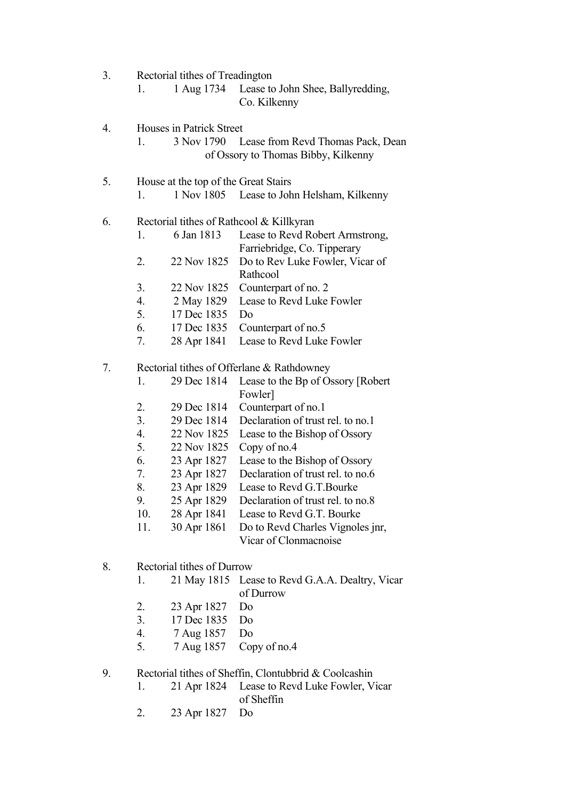- 3. Rectorial tithes of Treadington
	- 1. 1 Aug 1734 Lease to John Shee, Ballyredding, Co. Kilkenny
- 4. Houses in Patrick Street

 1. 3 Nov 1790 Lease from Revd Thomas Pack, Dean of Ossory to Thomas Bibby, Kilkenny

 5. House at the top of the Great Stairs 1. 1 Nov 1805 Lease to John Helsham, Kilkenny

#### 6. Rectorial tithes of Rathcool & Killkyran

|  | 6 Jan 1813 | Lease to Revd Robert Armstrong, |
|--|------------|---------------------------------|
|  |            | Farriebridge, Co. Tipperary     |
|  |            |                                 |

- 2. 22 Nov 1825 Do to Rev Luke Fowler, Vicar of Rathcool
- 3. 22 Nov 1825 Counterpart of no. 2
- 4. 2 May 1829 Lease to Revd Luke Fowler
- 5. 17 Dec 1835 Do
- 6. 17 Dec 1835 Counterpart of no.5
- 7. 28 Apr 1841 Lease to Revd Luke Fowler

#### 7. Rectorial tithes of Offerlane & Rathdowney

- 1. 29 Dec 1814 Lease to the Bp of Ossory [Robert Fowler]
- 2. 29 Dec 1814 Counterpart of no.1
- 3. 29 Dec 1814 Declaration of trust rel. to no.1
- 4. 22 Nov 1825 Lease to the Bishop of Ossory
- 5. 22 Nov 1825 Copy of no.4
- 6. 23 Apr 1827 Lease to the Bishop of Ossory
- 7. 23 Apr 1827 Declaration of trust rel. to no.6
- 8. 23 Apr 1829 Lease to Revd G.T.Bourke
- 9. 25 Apr 1829 Declaration of trust rel. to no.8
- 10. 28 Apr 1841 Lease to Revd G.T. Bourke
- 11. 30 Apr 1861 Do to Revd Charles Vignoles jnr, Vicar of Clonmacnoise
- 8. Rectorial tithes of Durrow
	- 1. 21 May 1815 Lease to Revd G.A.A. Dealtry, Vicar of Durrow
	- 2. 23 Apr 1827 Do
	- 3. 17 Dec 1835 Do
	- 4. 7 Aug 1857 Do
	- 5. 7 Aug 1857 Copy of no.4

## 9. Rectorial tithes of Sheffin, Clontubbrid & Coolcashin

- 1. 21 Apr 1824 Lease to Revd Luke Fowler, Vicar of Sheffin
- 2. 23 Apr 1827 Do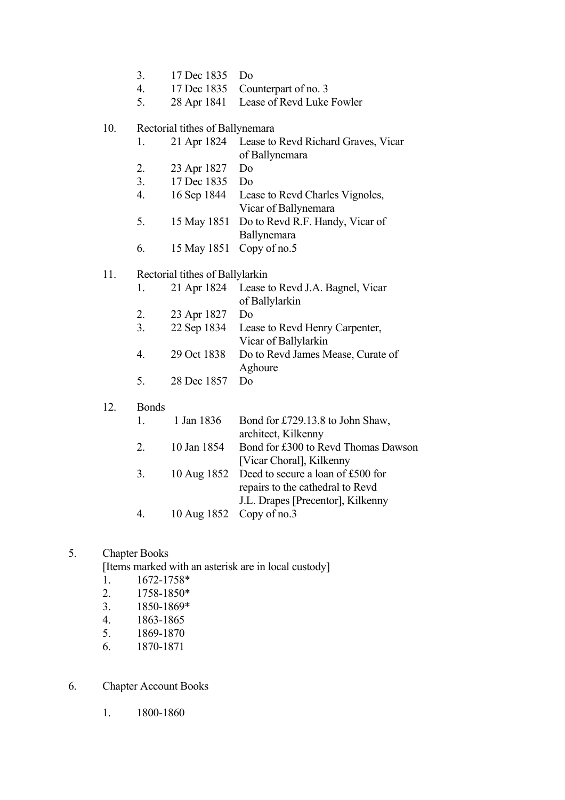- 3. 17 Dec 1835 Do
- 4. 17 Dec 1835 Counterpart of no. 3
- 5. 28 Apr 1841 Lease of Revd Luke Fowler

#### 10. Rectorial tithes of Ballynemara

- 1. 21 Apr 1824 Lease to Revd Richard Graves, Vicar of Ballynemara
- 2. 23 Apr 1827 Do
- 3. 17 Dec 1835 Do
- 4. 16 Sep 1844 Lease to Revd Charles Vignoles, Vicar of Ballynemara
- 5. 15 May 1851 Do to Revd R.F. Handy, Vicar of Ballynemara
- 6. 15 May 1851 Copy of no.5

## 11. Rectorial tithes of Ballylarkin

|    |                | 1. 21 Apr 1824 Lease to Revd J.A. Bagnel, Vicar |
|----|----------------|-------------------------------------------------|
|    |                | of Ballylarkin                                  |
| 2. | 23 Apr 1827 Do |                                                 |
| 3. |                | 22 Sep 1834 Lease to Revd Henry Carpenter,      |
|    |                | Vicar of Ballylarkin                            |
|    |                | 29 Oct 1838 Do to Revd James Mease, Curate of   |
|    |                | Aghoure                                         |
|    | 28 Dec 1857 Do |                                                 |

#### 12. Bonds

|    | 1. $1 \text{ Jan } 1836$ | Bond for £729.13.8 to John Shaw,              |
|----|--------------------------|-----------------------------------------------|
|    |                          | architect, Kilkenny                           |
| 2  | 10 Jan 1854              | Bond for £300 to Revd Thomas Dawson           |
|    |                          | [Vicar Choral], Kilkenny                      |
| 3. |                          | 10 Aug 1852 Deed to secure a loan of £500 for |
|    |                          | repairs to the cathedral to Revd              |
|    |                          | J.L. Drapes [Precentor], Kilkenny             |
| 4. | 10 Aug 1852 Copy of no.3 |                                               |
|    |                          |                                               |

## 5. Chapter Books

[Items marked with an asterisk are in local custody]

- 1. 1672-1758\*
- 2. 1758-1850\*
- 3. 1850-1869\*
- 4. 1863-1865
- 5. 1869-1870
- 6. 1870-1871

## 6. Chapter Account Books

1. 1800-1860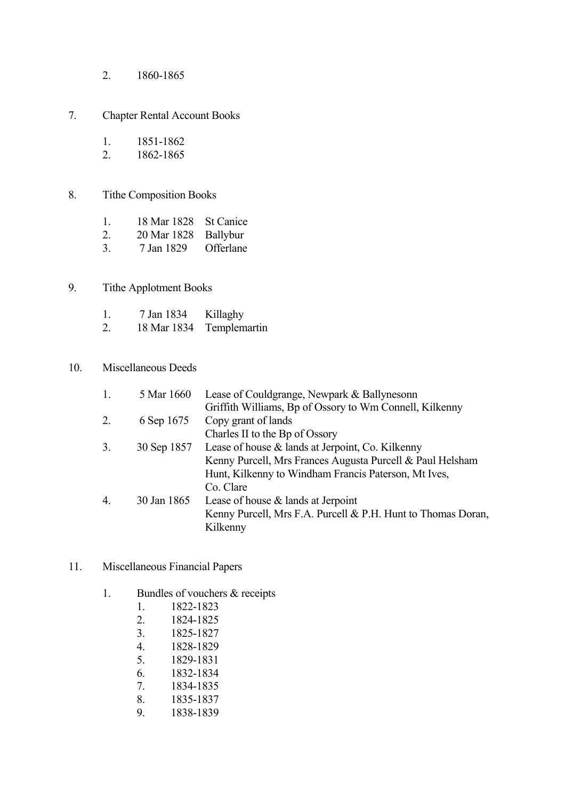2. 1860-1865

# 7. Chapter Rental Account Books

- 1. 1851-1862<br>2. 1862-1865
- 2. 1862-1865

## 8. Tithe Composition Books

- 1. 18 Mar 1828 St Canice<br>2. 20 Mar 1828 Ballybur
- 20 Mar 1828 Ballybur<br>7 Jan 1829 Offerlane
- 3.  $7 \text{ Jan } 1829$

# 9. Tithe Applotment Books

- 1. 7 Jan 1834 Killaghy
- 2. 18 Mar 1834 Templemartin

## 10. Miscellaneous Deeds

|    | 5 Mar 1660  | Lease of Couldgrange, Newpark & Ballynesonn                  |
|----|-------------|--------------------------------------------------------------|
|    |             | Griffith Williams, Bp of Ossory to Wm Connell, Kilkenny      |
| 2. | 6 Sep 1675  | Copy grant of lands                                          |
|    |             | Charles II to the Bp of Ossory                               |
| 3. | 30 Sep 1857 | Lease of house $\&$ lands at Jerpoint, Co. Kilkenny          |
|    |             | Kenny Purcell, Mrs Frances Augusta Purcell & Paul Helsham    |
|    |             | Hunt, Kilkenny to Windham Francis Paterson, Mt Ives,         |
|    |             | Co. Clare                                                    |
| 4. | 30 Jan 1865 | Lease of house $&$ lands at Jerpoint                         |
|    |             | Kenny Purcell, Mrs F.A. Purcell & P.H. Hunt to Thomas Doran, |
|    |             | Kilkenny                                                     |
|    |             |                                                              |

- 11. Miscellaneous Financial Papers
	- 1. Bundles of vouchers & receipts
		- 1. 1822-1823
		- 2. 1824-1825
		- 3. 1825-1827
		- 4. 1828-1829
		- 5. 1829-1831
		- 6. 1832-1834
		- 7. 1834-1835
		- 8. 1835-1837
		- 9. 1838-1839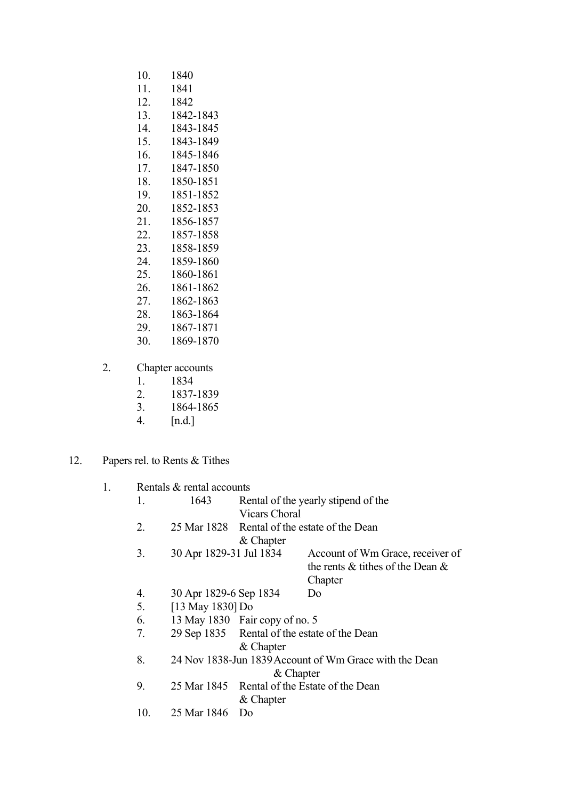- 10. 1840 11. 1841 12. 1842 13. 1842-1843 14. 1843-1845 15. 1843-1849 16. 1845-1846 17. 1847-1850 18. 1850-1851 19. 1851-1852 20. 1852-1853 21. 1856-1857 22. 1857-1858 23. 1858-1859 1859-1860 25. 1860-1861 26. 1861-1862 27. 1862-1863 28. 1863-1864 29. 1867-1871
- 30. 1869-1870
- 2. Chapter accounts
	- 1. 1834<br>2. 1837
	- 2. 1837-1839
	- 3. 1864-1865
	- 4. [n.d.]
- 12. Papers rel. to Rents & Tithes

| 1. |     | Rentals & rental accounts |                                |                                                        |
|----|-----|---------------------------|--------------------------------|--------------------------------------------------------|
|    | 1.  | 1643                      |                                | Rental of the yearly stipend of the                    |
|    |     |                           | <b>Vicars Choral</b>           |                                                        |
|    | 2.  |                           |                                | 25 Mar 1828 Rental of the estate of the Dean           |
|    |     |                           | & Chapter                      |                                                        |
|    | 3.  | 30 Apr 1829-31 Jul 1834   |                                | Account of Wm Grace, receiver of                       |
|    |     |                           |                                | the rents $\&$ tithes of the Dean $\&$                 |
|    |     |                           |                                | Chapter                                                |
|    | 4.  | 30 Apr 1829-6 Sep 1834    |                                | D <sub>0</sub>                                         |
|    | 5.  | [13 May 1830] Do          |                                |                                                        |
|    | 6.  |                           | 13 May 1830 Fair copy of no. 5 |                                                        |
|    | 7.  |                           |                                | 29 Sep 1835 Rental of the estate of the Dean           |
|    |     |                           | & Chapter                      |                                                        |
|    | 8.  |                           |                                | 24 Nov 1838-Jun 1839 Account of Wm Grace with the Dean |
|    |     |                           | $&$ Chapter                    |                                                        |
|    | 9.  |                           |                                | 25 Mar 1845 Rental of the Estate of the Dean           |
|    |     |                           | & Chapter                      |                                                        |
|    | 10. | 25 Mar 1846               | Do                             |                                                        |
|    |     |                           |                                |                                                        |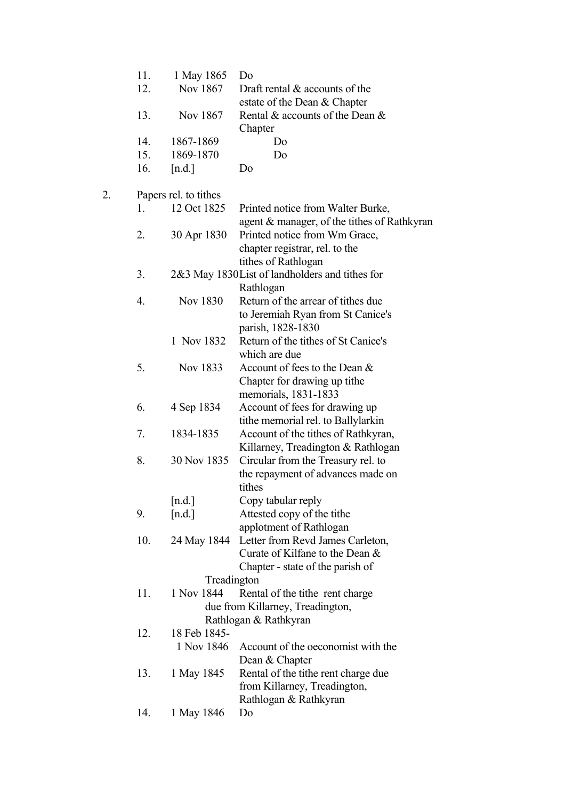|    | 11. | 1 May 1865            | Do                                                                                           |
|----|-----|-----------------------|----------------------------------------------------------------------------------------------|
|    | 12. | Nov 1867              | Draft rental $\&$ accounts of the                                                            |
|    |     |                       | estate of the Dean & Chapter                                                                 |
|    | 13. | Nov 1867              | Rental & accounts of the Dean &<br>Chapter                                                   |
|    | 14. | 1867-1869             | Do                                                                                           |
|    | 15. | 1869-1870             | Do                                                                                           |
|    | 16. | [n.d.]                | Do                                                                                           |
| 2. |     | Papers rel. to tithes |                                                                                              |
|    | 1.  | 12 Oct 1825           | Printed notice from Walter Burke,<br>agent & manager, of the tithes of Rathkyran             |
|    | 2.  | 30 Apr 1830           | Printed notice from Wm Grace,<br>chapter registrar, rel. to the<br>tithes of Rathlogan       |
|    | 3.  |                       | 2&3 May 1830 List of landholders and tithes for                                              |
|    |     |                       | Rathlogan                                                                                    |
|    | 4.  | Nov 1830              | Return of the arrear of tithes due<br>to Jeremiah Ryan from St Canice's<br>parish, 1828-1830 |
|    |     | 1 Nov 1832            | Return of the tithes of St Canice's<br>which are due                                         |
|    | 5.  | Nov 1833              | Account of fees to the Dean &<br>Chapter for drawing up tithe<br>memorials, 1831-1833        |
|    | 6.  | 4 Sep 1834            | Account of fees for drawing up<br>tithe memorial rel. to Ballylarkin                         |
|    | 7.  | 1834-1835             | Account of the tithes of Rathkyran,<br>Killarney, Treadington & Rathlogan                    |
|    | 8.  | 30 Nov 1835           | Circular from the Treasury rel. to<br>the repayment of advances made on                      |
|    |     |                       | tithes                                                                                       |
|    | 9.  | [n.d.]                | Copy tabular reply<br>Attested copy of the tithe                                             |
|    |     | [n.d.]                | applotment of Rathlogan                                                                      |
|    | 10. | 24 May 1844           | Letter from Revd James Carleton,                                                             |
|    |     |                       | Curate of Kilfane to the Dean &                                                              |
|    |     |                       | Chapter - state of the parish of                                                             |
|    |     | Treadington           |                                                                                              |
|    | 11. | 1 Nov 1844            | Rental of the tithe rent charge                                                              |
|    |     |                       | due from Killarney, Treadington,<br>Rathlogan & Rathkyran                                    |
|    | 12. | 18 Feb 1845-          |                                                                                              |
|    |     | 1 Nov 1846            | Account of the oeconomist with the<br>Dean & Chapter                                         |
|    | 13. | 1 May 1845            | Rental of the tithe rent charge due                                                          |
|    |     |                       | from Killarney, Treadington,                                                                 |
|    |     |                       | Rathlogan & Rathkyran                                                                        |
|    | 14. | 1 May 1846            | Do                                                                                           |
|    |     |                       |                                                                                              |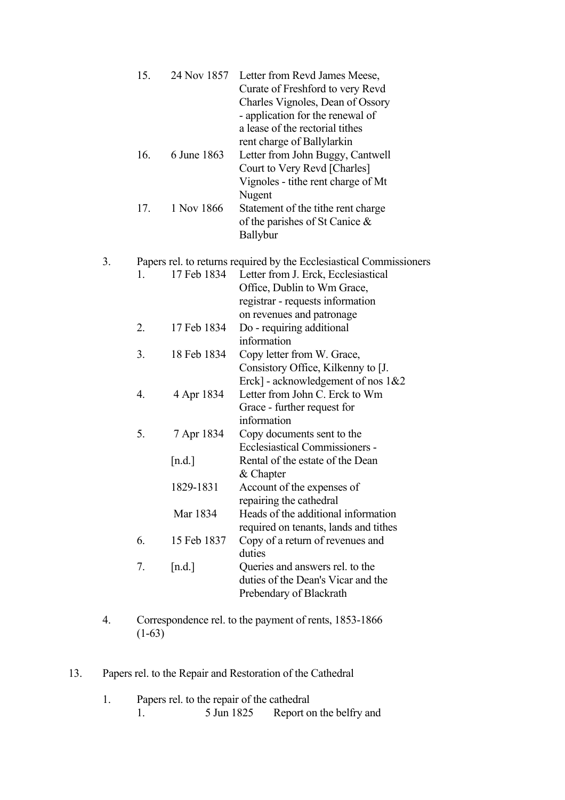|    | 15. |             | 24 Nov 1857 Letter from Revd James Meese,<br>Curate of Freshford to very Revd<br>Charles Vignoles, Dean of Ossory<br>- application for the renewal of<br>a lease of the rectorial tithes<br>rent charge of Ballylarkin |
|----|-----|-------------|------------------------------------------------------------------------------------------------------------------------------------------------------------------------------------------------------------------------|
|    | 16. | 6 June 1863 | Letter from John Buggy, Cantwell<br>Court to Very Revd [Charles]<br>Vignoles - tithe rent charge of Mt<br>Nugent                                                                                                       |
|    | 17. | 1 Nov 1866  | Statement of the tithe rent charge<br>of the parishes of St Canice $\&$<br><b>Ballybur</b>                                                                                                                             |
| 3. |     |             | Papers rel. to returns required by the Ecclesiastical Commissioners                                                                                                                                                    |
|    | 1.  | 17 Feb 1834 | Letter from J. Erck, Ecclesiastical<br>Office, Dublin to Wm Grace,<br>registrar - requests information                                                                                                                 |
|    |     |             | on revenues and patronage                                                                                                                                                                                              |
|    | 2.  | 17 Feb 1834 | Do - requiring additional<br>information                                                                                                                                                                               |
|    | 3.  | 18 Feb 1834 | Copy letter from W. Grace,<br>Consistory Office, Kilkenny to [J.<br>Erck] - acknowledgement of nos $1&&2$                                                                                                              |
|    | 4.  | 4 Apr 1834  | Letter from John C. Erck to Wm<br>Grace - further request for<br>information                                                                                                                                           |
|    | 5.  | 7 Apr 1834  | Copy documents sent to the<br>Ecclesiastical Commissioners -                                                                                                                                                           |
|    |     | [n.d.]      | Rental of the estate of the Dean<br>& Chapter                                                                                                                                                                          |
|    |     | 1829-1831   | Account of the expenses of<br>repairing the cathedral                                                                                                                                                                  |
|    |     | Mar 1834    | Heads of the additional information<br>required on tenants, lands and tithes                                                                                                                                           |
|    | 6.  | 15 Feb 1837 | Copy of a return of revenues and<br>duties                                                                                                                                                                             |
|    | 7.  | [n.d.]      | Queries and answers rel. to the<br>duties of the Dean's Vicar and the<br>Prebendary of Blackrath                                                                                                                       |

- 4. Correspondence rel. to the payment of rents, 1853-1866  $(1-63)$
- 13. Papers rel. to the Repair and Restoration of the Cathedral
- 1. Papers rel. to the repair of the cathedral 1. 5 Jun 1825 Report on the belfry and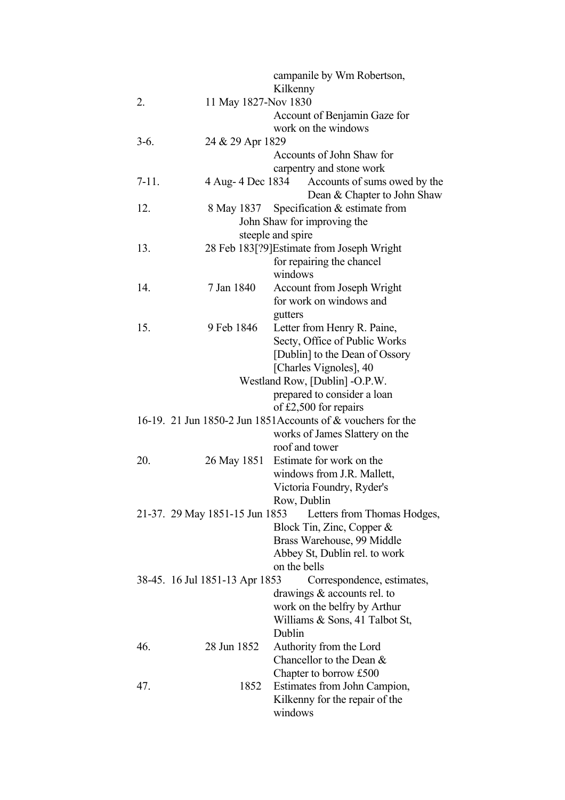|           |                                |                   | campanile by Wm Robertson,                                   |
|-----------|--------------------------------|-------------------|--------------------------------------------------------------|
|           |                                | Kilkenny          |                                                              |
| 2.        | 11 May 1827-Nov 1830           |                   |                                                              |
|           |                                |                   | Account of Benjamin Gaze for                                 |
|           |                                |                   | work on the windows                                          |
| $3-6.$    | 24 & 29 Apr 1829               |                   |                                                              |
|           |                                |                   | Accounts of John Shaw for                                    |
|           |                                |                   | carpentry and stone work                                     |
| $7 - 11.$ | 4 Aug- 4 Dec 1834              |                   | Accounts of sums owed by the<br>Dean & Chapter to John Shaw  |
| 12.       | 8 May 1837                     |                   | Specification $&$ estimate from                              |
|           |                                |                   | John Shaw for improving the                                  |
|           |                                | steeple and spire |                                                              |
| 13.       |                                |                   | 28 Feb 183[?9] Estimate from Joseph Wright                   |
|           |                                |                   | for repairing the chancel                                    |
|           |                                | windows           |                                                              |
| 14.       | 7 Jan 1840                     |                   | <b>Account from Joseph Wright</b>                            |
|           |                                |                   | for work on windows and                                      |
|           |                                | gutters           |                                                              |
| 15.       | 9 Feb 1846                     |                   | Letter from Henry R. Paine,                                  |
|           |                                |                   | Secty, Office of Public Works                                |
|           |                                |                   | [Dublin] to the Dean of Ossory                               |
|           |                                |                   | [Charles Vignoles], 40                                       |
|           |                                |                   | Westland Row, [Dublin] -O.P.W.                               |
|           |                                |                   | prepared to consider a loan                                  |
|           |                                |                   | of £2,500 for repairs                                        |
|           |                                |                   | 16-19. 21 Jun 1850-2 Jun 1851 Accounts of & vouchers for the |
|           |                                |                   | works of James Slattery on the                               |
|           |                                |                   | roof and tower                                               |
| 20.       | 26 May 1851                    |                   | Estimate for work on the                                     |
|           |                                |                   | windows from J.R. Mallett,                                   |
|           |                                |                   | Victoria Foundry, Ryder's                                    |
|           |                                | Row, Dublin       |                                                              |
|           | 21-37. 29 May 1851-15 Jun 1853 |                   | Letters from Thomas Hodges,                                  |
|           |                                |                   | Block Tin, Zinc, Copper &                                    |
|           |                                |                   | Brass Warehouse, 99 Middle                                   |
|           |                                |                   | Abbey St, Dublin rel. to work                                |
|           |                                | on the bells      |                                                              |
|           | 38-45. 16 Jul 1851-13 Apr 1853 |                   | Correspondence, estimates,                                   |
|           |                                |                   | drawings $&$ accounts rel. to                                |
|           |                                |                   | work on the belfry by Arthur                                 |
|           |                                | Dublin            | Williams $\&$ Sons, 41 Talbot St,                            |
| 46.       | 28 Jun 1852                    |                   |                                                              |
|           |                                |                   | Authority from the Lord<br>Chancellor to the Dean &          |
|           |                                |                   | Chapter to borrow £500                                       |
| 47.       | 1852                           |                   | Estimates from John Campion,                                 |
|           |                                |                   | Kilkenny for the repair of the                               |
|           |                                | windows           |                                                              |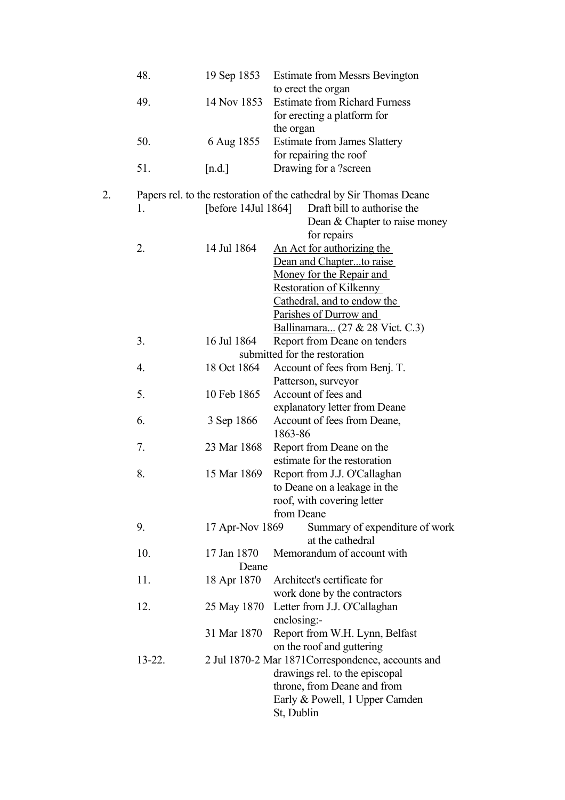|    | 48.         | 19 Sep 1853         | <b>Estimate from Messrs Bevington</b>                               |
|----|-------------|---------------------|---------------------------------------------------------------------|
|    | 49.         | 14 Nov 1853         | to erect the organ<br><b>Estimate from Richard Furness</b>          |
|    |             |                     | for erecting a platform for                                         |
|    |             |                     | the organ                                                           |
|    | 50.         | 6 Aug 1855          | <b>Estimate from James Slattery</b>                                 |
|    |             |                     | for repairing the roof                                              |
|    | 51.         | [n.d.]              | Drawing for a ?screen                                               |
| 2. |             |                     | Papers rel. to the restoration of the cathedral by Sir Thomas Deane |
|    | 1.          | [before 14Jul 1864] | Draft bill to authorise the                                         |
|    |             |                     | Dean & Chapter to raise money                                       |
|    |             |                     | for repairs                                                         |
|    | 2.          | 14 Jul 1864         | An Act for authorizing the                                          |
|    |             |                     | Dean and Chapterto raise                                            |
|    |             |                     | Money for the Repair and                                            |
|    |             |                     | <b>Restoration of Kilkenny</b>                                      |
|    |             |                     | Cathedral, and to endow the                                         |
|    |             |                     | Parishes of Durrow and                                              |
|    | 3.          | 16 Jul 1864         | Ballinamara (27 & 28 Vict. C.3)<br>Report from Deane on tenders     |
|    |             |                     | submitted for the restoration                                       |
|    | 4.          | 18 Oct 1864         | Account of fees from Benj. T.                                       |
|    |             |                     | Patterson, surveyor                                                 |
|    | 5.          | 10 Feb 1865         | Account of fees and                                                 |
|    |             |                     | explanatory letter from Deane                                       |
|    | 6.          | 3 Sep 1866          | Account of fees from Deane,                                         |
|    |             |                     | 1863-86                                                             |
|    | 7.          | 23 Mar 1868         | Report from Deane on the                                            |
|    |             |                     | estimate for the restoration                                        |
|    | 8.          | 15 Mar 1869         | Report from J.J. O'Callaghan                                        |
|    |             |                     | to Deane on a leakage in the                                        |
|    |             |                     | roof, with covering letter                                          |
|    | 9.          | 17 Apr-Nov 1869     | from Deane<br>Summary of expenditure of work                        |
|    |             |                     | at the cathedral                                                    |
|    | 10.         | 17 Jan 1870         | Memorandum of account with                                          |
|    |             | Deane               |                                                                     |
|    | 11.         | 18 Apr 1870         | Architect's certificate for                                         |
|    |             |                     | work done by the contractors                                        |
|    | 12.         | 25 May 1870         | Letter from J.J. O'Callaghan                                        |
|    |             |                     | enclosing:-                                                         |
|    |             | 31 Mar 1870         | Report from W.H. Lynn, Belfast                                      |
|    |             |                     | on the roof and guttering                                           |
|    | $13 - 22$ . |                     | 2 Jul 1870-2 Mar 1871 Correspondence, accounts and                  |
|    |             |                     | drawings rel. to the episcopal                                      |
|    |             |                     | throne, from Deane and from                                         |
|    |             |                     | Early & Powell, 1 Upper Camden                                      |
|    |             |                     | St, Dublin                                                          |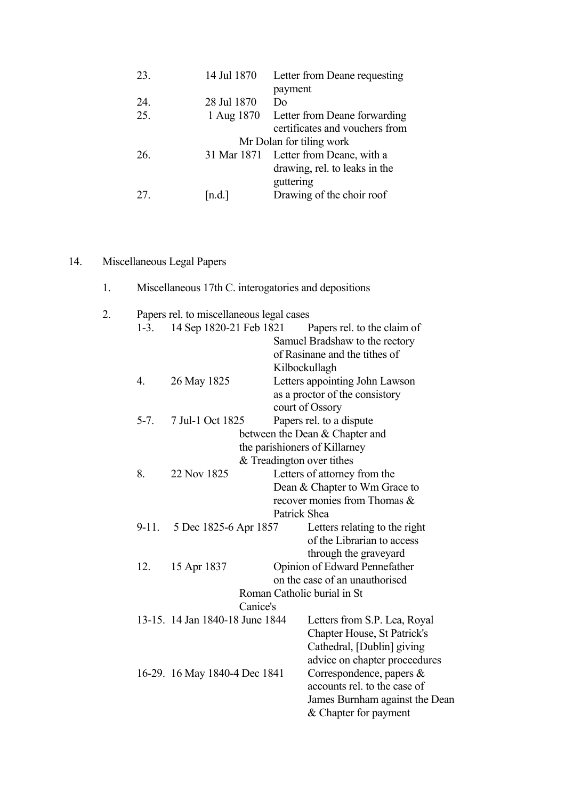| 23. | 14 Jul 1870 | Letter from Deane requesting          |
|-----|-------------|---------------------------------------|
|     |             | payment                               |
| 24. | 28 Jul 1870 | Do                                    |
| 25. | 1 Aug 1870  | Letter from Deane forwarding          |
|     |             | certificates and vouchers from        |
|     |             | Mr Dolan for tiling work              |
| 26. |             | 31 Mar 1871 Letter from Deane, with a |
|     |             | drawing, rel. to leaks in the         |
|     |             | guttering                             |
| 27  | n.d.        | Drawing of the choir roof             |
|     |             |                                       |

# 14. Miscellaneous Legal Papers

| Miscellaneous 17th C. interogatories and depositions |  |  |
|------------------------------------------------------|--|--|
|                                                      |  |  |

| 2. |                  | Papers rel. to miscellaneous legal cases |              |                                |
|----|------------------|------------------------------------------|--------------|--------------------------------|
|    | $1 - 3$ .        | 14 Sep 1820-21 Feb 1821                  |              | Papers rel. to the claim of    |
|    |                  |                                          |              | Samuel Bradshaw to the rectory |
|    |                  |                                          |              | of Rasinane and the tithes of  |
|    |                  |                                          |              | Kilbockullagh                  |
|    | $\overline{4}$ . | 26 May 1825                              |              | Letters appointing John Lawson |
|    |                  |                                          |              | as a proctor of the consistory |
|    |                  |                                          |              | court of Ossory                |
|    | $5 - 7$ .        | 7 Jul-1 Oct 1825                         |              | Papers rel. to a dispute       |
|    |                  |                                          |              | between the Dean & Chapter and |
|    |                  |                                          |              | the parishioners of Killarney  |
|    |                  |                                          |              | $&$ Treadington over tithes    |
|    | 8.               | 22 Nov 1825                              |              | Letters of attorney from the   |
|    |                  |                                          |              | Dean & Chapter to Wm Grace to  |
|    |                  |                                          |              | recover monies from Thomas &   |
|    |                  |                                          | Patrick Shea |                                |
|    | $9-11.$          | 5 Dec 1825-6 Apr 1857                    |              | Letters relating to the right  |
|    |                  |                                          |              | of the Librarian to access     |
|    |                  |                                          |              | through the graveyard          |
|    | 12.              | 15 Apr 1837                              |              | Opinion of Edward Pennefather  |
|    |                  |                                          |              | on the case of an unauthorised |
|    |                  |                                          |              | Roman Catholic burial in St    |
|    |                  | Canice's                                 |              |                                |
|    |                  | 13-15. 14 Jan 1840-18 June 1844          |              | Letters from S.P. Lea, Royal   |
|    |                  |                                          |              | Chapter House, St Patrick's    |
|    |                  |                                          |              | Cathedral, [Dublin] giving     |
|    |                  |                                          |              | advice on chapter proceedures  |
|    |                  | 16-29. 16 May 1840-4 Dec 1841            |              | Correspondence, papers $\&$    |
|    |                  |                                          |              | accounts rel. to the case of   |
|    |                  |                                          |              | James Burnham against the Dean |
|    |                  |                                          |              | & Chapter for payment          |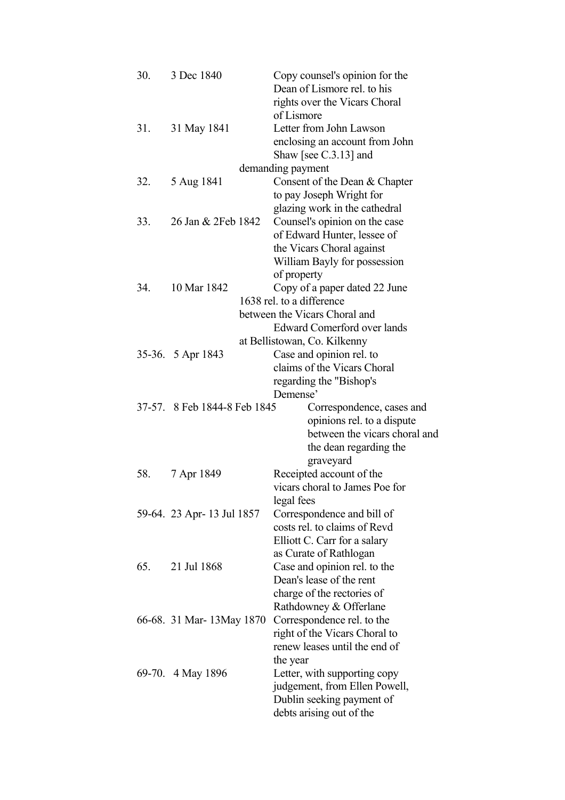| 30. | 3 Dec 1840                   | Copy counsel's opinion for the<br>Dean of Lismore rel. to his<br>rights over the Vicars Choral |
|-----|------------------------------|------------------------------------------------------------------------------------------------|
|     |                              | of Lismore                                                                                     |
| 31. | 31 May 1841                  | Letter from John Lawson                                                                        |
|     |                              | enclosing an account from John                                                                 |
|     |                              | Shaw [see $C.3.13$ ] and                                                                       |
|     |                              | demanding payment                                                                              |
| 32. | 5 Aug 1841                   | Consent of the Dean & Chapter                                                                  |
|     |                              | to pay Joseph Wright for                                                                       |
|     |                              | glazing work in the cathedral                                                                  |
| 33. | 26 Jan & 2Feb 1842           | Counsel's opinion on the case                                                                  |
|     |                              | of Edward Hunter, lessee of                                                                    |
|     |                              | the Vicars Choral against                                                                      |
|     |                              | William Bayly for possession                                                                   |
|     |                              | of property                                                                                    |
| 34. | 10 Mar 1842                  | Copy of a paper dated 22 June                                                                  |
|     |                              | 1638 rel. to a difference                                                                      |
|     |                              | between the Vicars Choral and                                                                  |
|     |                              | <b>Edward Comerford over lands</b>                                                             |
|     |                              | at Bellistowan, Co. Kilkenny                                                                   |
|     | 35-36. 5 Apr 1843            | Case and opinion rel. to                                                                       |
|     |                              | claims of the Vicars Choral                                                                    |
|     |                              | regarding the "Bishop's<br>Demense'                                                            |
|     | 37-57. 8 Feb 1844-8 Feb 1845 | Correspondence, cases and                                                                      |
|     |                              | opinions rel. to a dispute                                                                     |
|     |                              | between the vicars choral and                                                                  |
|     |                              | the dean regarding the                                                                         |
|     |                              | graveyard                                                                                      |
| 58. | 7 Apr 1849                   | Receipted account of the                                                                       |
|     |                              | vicars choral to James Poe for                                                                 |
|     |                              | legal fees                                                                                     |
|     | 59-64. 23 Apr- 13 Jul 1857   | Correspondence and bill of                                                                     |
|     |                              | costs rel. to claims of Revd                                                                   |
|     |                              | Elliott C. Carr for a salary                                                                   |
|     |                              | as Curate of Rathlogan                                                                         |
| 65. | 21 Jul 1868                  | Case and opinion rel. to the                                                                   |
|     |                              | Dean's lease of the rent                                                                       |
|     |                              | charge of the rectories of                                                                     |
|     |                              | Rathdowney & Offerlane                                                                         |
|     | 66-68. 31 Mar-13 May 1870    | Correspondence rel. to the                                                                     |
|     |                              | right of the Vicars Choral to                                                                  |
|     |                              | renew leases until the end of                                                                  |
|     |                              | the year                                                                                       |
|     | 69-70. 4 May 1896            | Letter, with supporting copy                                                                   |
|     |                              | judgement, from Ellen Powell,                                                                  |
|     |                              | Dublin seeking payment of                                                                      |
|     |                              | debts arising out of the                                                                       |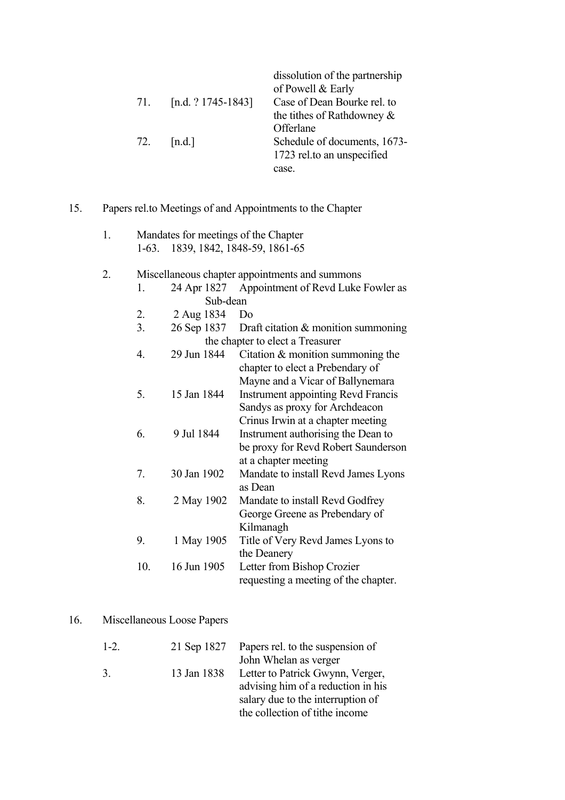|                    | dissolution of the partnership<br>of Powell & Early |
|--------------------|-----------------------------------------------------|
| [n.d. ? 1745-1843] | Case of Dean Bourke rel. to                         |
|                    | the titles of Rathdowney $\&$                       |
|                    | Offerlane                                           |
| 72.<br>[n.d.]      | Schedule of documents, 1673-                        |
|                    | 1723 rel.to an unspecified                          |
|                    | case.                                               |
|                    |                                                     |

15. Papers rel.to Meetings of and Appointments to the Chapter

|  | Mandates for meetings of the Chapter |
|--|--------------------------------------|
|  | 1-63. 1839, 1842, 1848-59, 1861-65   |

2. Miscellaneous chapter appointments and summons

|                             | 24 Apr 1827 Appointment of Revd Luke Fowler as |
|-----------------------------|------------------------------------------------|
| Sub-dean                    |                                                |
| 2. $2 \text{ Aug } 1834$ Do |                                                |

 3. 26 Sep 1837 Draft citation & monition summoning the chapter to elect a Treasurer

| 4.             | 29 Jun 1844 | Citation $\&$ monition summoning the      |
|----------------|-------------|-------------------------------------------|
|                |             | chapter to elect a Prebendary of          |
|                |             | Mayne and a Vicar of Ballynemara          |
| 5.             | 15 Jan 1844 | <b>Instrument appointing Revd Francis</b> |
|                |             | Sandys as proxy for Archdeacon            |
|                |             | Crinus Irwin at a chapter meeting         |
| 6.             | 9 Jul 1844  | Instrument authorising the Dean to        |
|                |             | be proxy for Revd Robert Saunderson       |
|                |             | at a chapter meeting                      |
| 7 <sub>1</sub> | 30 Jan 1902 | Mandate to install Revd James Lyons       |
|                |             | as Dean                                   |
| 8.             | 2 May 1902  | Mandate to install Revd Godfrey           |
|                |             | George Greene as Prebendary of            |
|                |             | Kilmanagh                                 |
| 9.             | 1 May 1905  | Title of Very Revd James Lyons to         |
|                |             | the Deanery                               |
| 10.            | 16 Jun 1905 | Letter from Bishop Crozier                |

# 16. Miscellaneous Loose Papers

| $1 - 2$ | 21 Sep 1827 | Papers rel. to the suspension of   |
|---------|-------------|------------------------------------|
|         |             | John Whelan as verger              |
| 3       | 13 Jan 1838 | Letter to Patrick Gwynn, Verger,   |
|         |             | advising him of a reduction in his |
|         |             | salary due to the interruption of  |
|         |             | the collection of tithe income     |

requesting a meeting of the chapter.